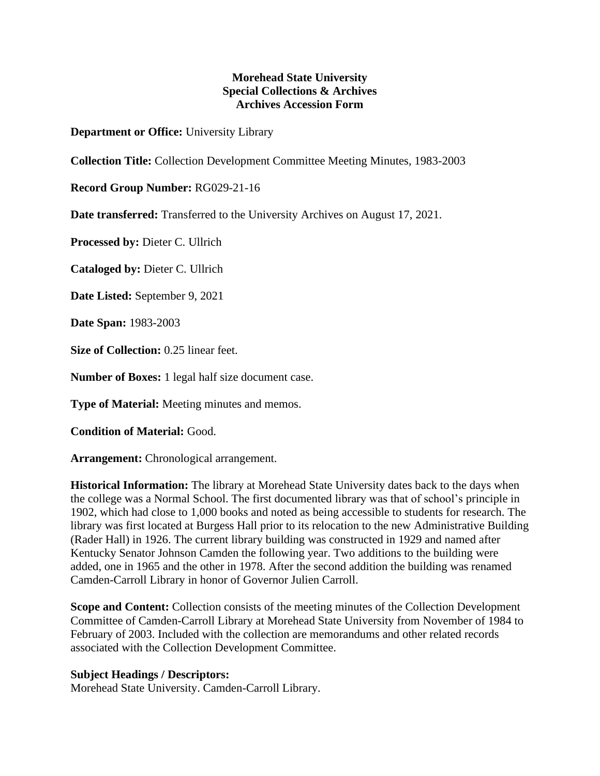## **Morehead State University Special Collections & Archives Archives Accession Form**

**Department or Office:** University Library

**Collection Title:** Collection Development Committee Meeting Minutes, 1983-2003

**Record Group Number:** RG029-21-16

**Date transferred:** Transferred to the University Archives on August 17, 2021.

**Processed by:** Dieter C. Ullrich

**Cataloged by:** Dieter C. Ullrich

**Date Listed:** September 9, 2021

**Date Span:** 1983-2003

**Size of Collection:** 0.25 linear feet.

**Number of Boxes:** 1 legal half size document case.

**Type of Material:** Meeting minutes and memos.

**Condition of Material:** Good.

**Arrangement:** Chronological arrangement.

**Historical Information:** The library at Morehead State University dates back to the days when the college was a Normal School. The first documented library was that of school's principle in 1902, which had close to 1,000 books and noted as being accessible to students for research. The library was first located at Burgess Hall prior to its relocation to the new Administrative Building (Rader Hall) in 1926. The current library building was constructed in 1929 and named after Kentucky Senator Johnson Camden the following year. Two additions to the building were added, one in 1965 and the other in 1978. After the second addition the building was renamed Camden-Carroll Library in honor of Governor Julien Carroll.

**Scope and Content:** Collection consists of the meeting minutes of the Collection Development Committee of Camden-Carroll Library at Morehead State University from November of 1984 to February of 2003. Included with the collection are memorandums and other related records associated with the Collection Development Committee.

## **Subject Headings / Descriptors:**

Morehead State University. Camden-Carroll Library.